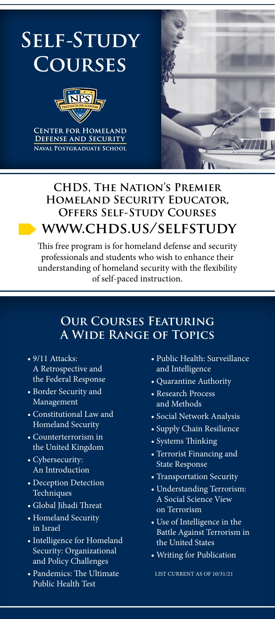

### **CHDS, The Nation's Premier Homeland Security Educator, Offers Self-Study Courses www.chds.us/selfstudy**

This free program is for homeland defense and security professionals and students who wish to enhance their understanding of homeland security with the flexibility of self-paced instruction.

### **Our Courses Featuring A Wide Range of Topics**

- 9/11 Attacks: A Retrospective and the Federal Response
- Border Security and Management
- Constitutional Law and Homeland Security
- Counterterrorism in the United Kingdom
- Cybersecurity: An Introduction
- Deception Detection Techniques
- Global Jihadi Threat
- Homeland Security in Israel
- Intelligence for Homeland Security: Organizational and Policy Challenges
- Pandemics: The Ultimate Public Health Test
- Public Health: Surveillance and Intelligence
- Quarantine Authority
- Research Process and Methods
- Social Network Analysis
- Supply Chain Resilience
- Systems Thinking
- Terrorist Financing and State Response
- Transportation Security
- Understanding Terrorism: A Social Science View on Terrorism
- Use of Intelligence in the Battle Against Terrorism in the United States
- Writing for Publication

LIST CURRENT AS OF 10/31/21